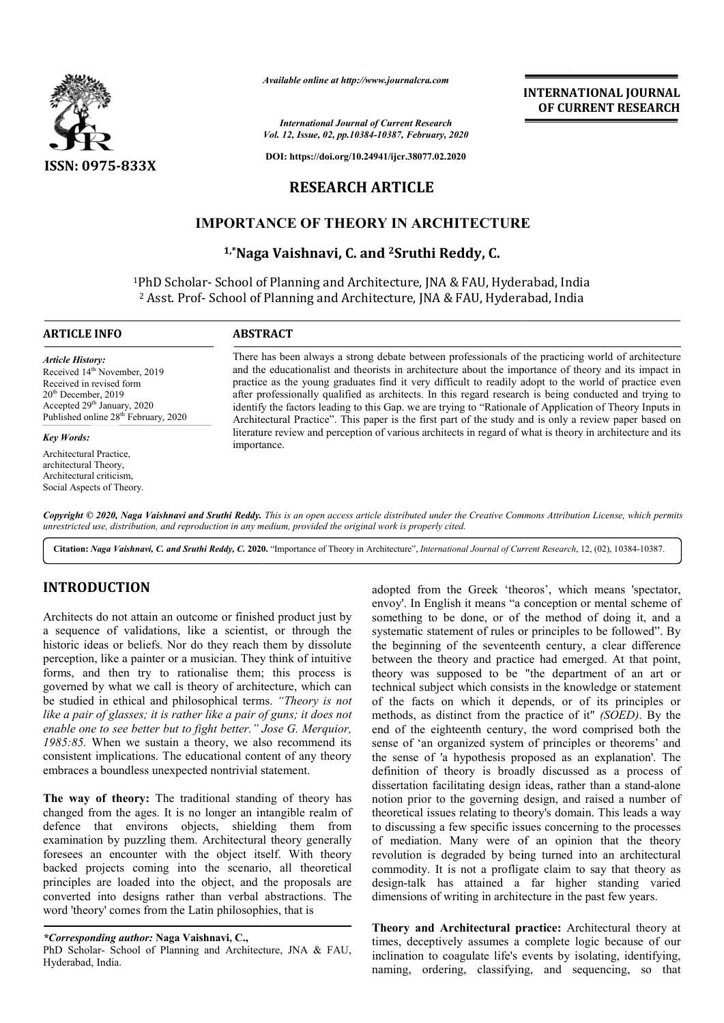

*Available online at http://www.journalcra.com*

*International Journal of Current Research Vol. 12, Issue, 02, pp.10384-10387, February, 2020*

**DOI: https://doi.org/10.24941/ijcr.38077.02.2020**

## **RESEARCH ARTICLE**

# **IMPORTANCE OF THEORY IN ARCHITECTURE**

**1,\*Naga Vaishnavi, C. and Naga 2Sruthi Reddy, C.**

<sup>1</sup>PhD Scholar- School of Planning and Architecture, JNA & FAU, Hyderabad, India <sup>2</sup> Asst. Prof- School of Planning and Architecture, JNA & FAU, Hyderabad, India

#### **ARTICLE INFO ABSTRACT**

Received 14<sup>th</sup> November, 2019 Received in revised form 20th December, 2019 Accepted 29<sup>th</sup> January, 2020 Published online 28<sup>th</sup> February, 2020

*Article History:*

*Key Words:*

Architectural Practice, architectural Theory, Architectural criticism, Social Aspects of Theory.

There has been always a strong debate between professionals of the practicing world of architecture and the educationalist and theorists in architecture about the importance of theory and its impact in practice as the young graduates find it very difficult to readily adopt to the world of practice even after professionally qualified as architects. In this regard research is being conducted and trying to identify the factors leading to this Gap. we are trying to "Rationale of Application of Theory Inputs in Architectural Practice". This paper is the first part of the study and is only a review paper based on literature review and perception of various architects in regard of what is theory in architecture and its importance. There has been always a strong debate between professionals of the practicing world of architecture and the educationalist and theorists in architecture about the importance of theory and its impact in practice as the youn

Copyright © 2020, Naga Vaishnavi and Sruthi Reddy. This is an open access article distributed under the Creative Commons Attribution License, which permits *unrestricted use, distribution, and reproduction in any medium, provided the original work is properly cited.*

**Citation:** *Naga Vaishnavi, C. and Sruthi Reddy, C.* **2020.** "Importance of Theory in Architecture", *International Journal of Current Research Journal* , 12, (02), 10384-10387.

### **INTRODUCTION**

Architects do not attain an outcome or finished product just by a sequence of validations, like a scientist, or through the historic ideas or beliefs. Nor do they reach them by dissolute perception, like a painter or a musician. They think of intuitive forms, and then try to rationalise them; this process is governed by what we call is theory of architecture, which can be studied in ethical and philosophical terms. *"Theory is not like a pair of glasses; it is rather like a pair of guns; it does not*  enable one to see better but to fight better." Jose G. Merquior, *1985:85.* When we sustain a theory, we also recommend its consistent implications. The educational content of any theory embraces a boundless unexpected nontrivial statement.

**The way of theory:** The traditional standing of theory has changed from the ages. It is no longer an intangible realm of defence that environs objects, shielding them from examination by puzzling them. Architectural theory generally foresees an encounter with the object itself. With theory backed projects coming into the scenario, all theoretical principles are loaded into the object, and the proposals are converted into designs rather than verbal abstractions. The word 'theory' comes from the Latin philosophies, that is raditional standing of theory has<br>in the longer an intangible realm of<br>bbjects, shielding them from<br>em. Architectural theory generally<br>in the object itself. With theory adopted from the Greek 'theoros', which means 'spectator, envoy'. In English it means "a conception or mental scheme of something to be done, or of the method of doing it, and a systematic statement of rules or principles to be followed". By the beginning of the seventeenth century, a clear difference between the theory and practice had emerged. At that point, theory was supposed to be "the department of an art or technical subject which consists in the knowledge or statement of the facts on which it depends, or of its principles or methods, as distinct from the practice of it" (SOED). By the end of the eighteenth century, the word comprised both the sense of 'an organized system of principles or theorems' and end of the eighteenth century, the word comprised both the sense of 'an organized system of principles or theorems' and the sense of 'a hypothesis proposed as an explanation'. The definition of theory is broadly discussed as a process of definition of theory is broadly discussed as a process of dissertation facilitating design ideas, rather than a stand-alone notion prior to the governing design, and raised a number of theoretical issues relating to theory's domain. This leads a way to discussing a few specific issues concerning to the processes of mediation. Many were of an opinion that the theory revolution is degraded by being turned into an architectural commodity. It is not a profligate claim to say that theory as design-talk has attained a far higher standing varied dimensions of writing in architecture in the past few years. envoy'. In English it means "a conception or mental scheme of something to be done, or of the method of doing it, and a systematic statement of rules or principles to be followed". By the beginning of the seventeenth centu sing a few specific issues concerning to the processes ation. Many were of an opinion that the theory n is degraded by being turned into an architectural ty. It is not a profligate claim to say that theory as lk has attain **INTERNATIONAL JOURNAL**<br> **OF CURRENT RESEARCH**<br> **OF CURRENT RESEARCH**<br> **OF CURRENT RESEARCH**<br> **EXECUTE CONTIFICAT CONTIFICAT CONTIFICAT (** and its impact in and is impact in and is only a dopt to the word of practic even

**INTERNATIONAL JOURNAL OF CURRENT RESEARCH**

**Theory and Architectural practice:** Architectural theory at times, deceptively assumes a complete logic because of our inclination to coagulate life's events by isolating, identifying, naming, ordering, classifying, and sequencing, so that

*<sup>\*</sup>Corresponding author:* **Naga Vaishnavi, C.,**

PhD Scholar- School of Planning and Architecture, JNA & FAU, Hyderabad, India.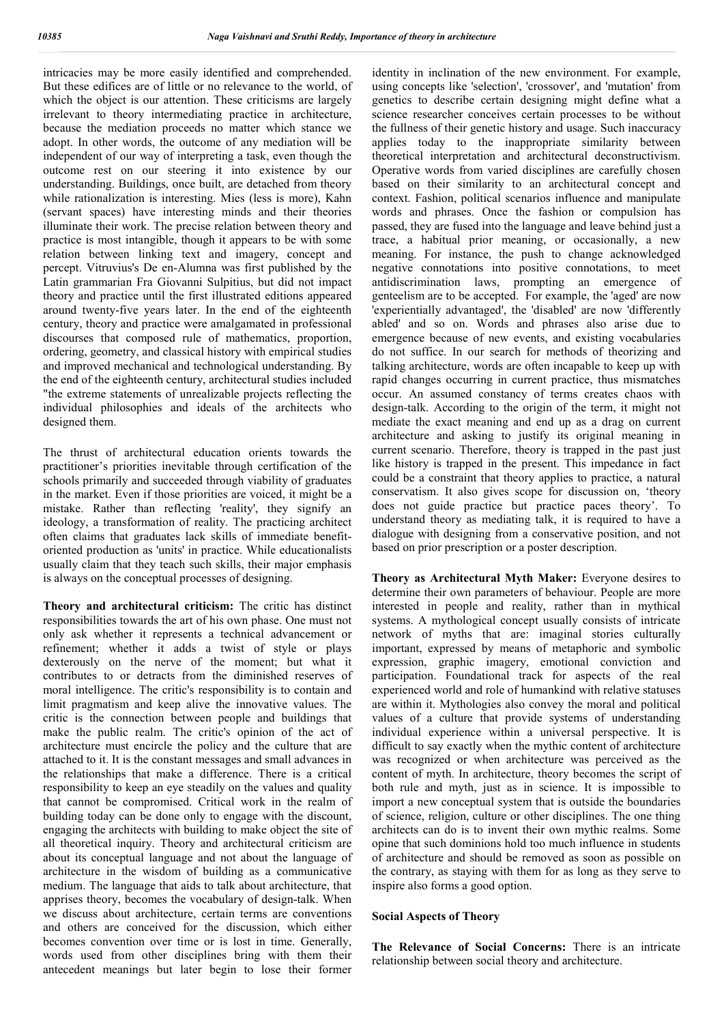intricacies may be more easily identified and comprehended. But these edifices are of little or no relevance to the world, of which the object is our attention. These criticisms are largely irrelevant to theory intermediating practice in architecture, because the mediation proceeds no matter which stance we adopt. In other words, the outcome of any mediation will be independent of our way of interpreting a task, even though the outcome rest on our steering it into existence by our understanding. Buildings, once built, are detached from theory while rationalization is interesting. Mies (less is more), Kahn (servant spaces) have interesting minds and their theories illuminate their work. The precise relation between theory and practice is most intangible, though it appears to be with some relation between linking text and imagery, concept and percept. Vitruvius's De en-Alumna was first published by the Latin grammarian Fra Giovanni Sulpitius, but did not impact theory and practice until the first illustrated editions appeared around twenty-five years later. In the end of the eighteenth century, theory and practice were amalgamated in professional discourses that composed rule of mathematics, proportion, ordering, geometry, and classical history with empirical studies and improved mechanical and technological understanding. By the end of the eighteenth century, architectural studies included "the extreme statements of unrealizable projects reflecting the individual philosophies and ideals of the architects who designed them.

The thrust of architectural education orients towards the practitioner's priorities inevitable through certification of the schools primarily and succeeded through viability of graduates in the market. Even if those priorities are voiced, it might be a mistake. Rather than reflecting 'reality', they signify an ideology, a transformation of reality. The practicing architect often claims that graduates lack skills of immediate benefitoriented production as 'units' in practice. While educationalists usually claim that they teach such skills, their major emphasis is always on the conceptual processes of designing.

**Theory and architectural criticism:** The critic has distinct responsibilities towards the art of his own phase. One must not only ask whether it represents a technical advancement or refinement; whether it adds a twist of style or plays dexterously on the nerve of the moment; but what it contributes to or detracts from the diminished reserves of moral intelligence. The critic's responsibility is to contain and limit pragmatism and keep alive the innovative values. The critic is the connection between people and buildings that make the public realm. The critic's opinion of the act of architecture must encircle the policy and the culture that are attached to it. It is the constant messages and small advances in the relationships that make a difference. There is a critical responsibility to keep an eye steadily on the values and quality that cannot be compromised. Critical work in the realm of building today can be done only to engage with the discount, engaging the architects with building to make object the site of all theoretical inquiry. Theory and architectural criticism are about its conceptual language and not about the language of architecture in the wisdom of building as a communicative medium. The language that aids to talk about architecture, that apprises theory, becomes the vocabulary of design-talk. When we discuss about architecture, certain terms are conventions and others are conceived for the discussion, which either becomes convention over time or is lost in time. Generally, words used from other disciplines bring with them their antecedent meanings but later begin to lose their former

identity in inclination of the new environment. For example, using concepts like 'selection', 'crossover', and 'mutation' from genetics to describe certain designing might define what a science researcher conceives certain processes to be without the fullness of their genetic history and usage. Such inaccuracy applies today to the inappropriate similarity between theoretical interpretation and architectural deconstructivism. Operative words from varied disciplines are carefully chosen based on their similarity to an architectural concept and context. Fashion, political scenarios influence and manipulate words and phrases. Once the fashion or compulsion has passed, they are fused into the language and leave behind just a trace, a habitual prior meaning, or occasionally, a new meaning. For instance, the push to change acknowledged negative connotations into positive connotations, to meet antidiscrimination laws, prompting an emergence of genteelism are to be accepted. For example, the 'aged' are now 'experientially advantaged', the 'disabled' are now 'differently abled' and so on. Words and phrases also arise due to emergence because of new events, and existing vocabularies do not suffice. In our search for methods of theorizing and talking architecture, words are often incapable to keep up with rapid changes occurring in current practice, thus mismatches occur. An assumed constancy of terms creates chaos with design-talk. According to the origin of the term, it might not mediate the exact meaning and end up as a drag on current architecture and asking to justify its original meaning in current scenario. Therefore, theory is trapped in the past just like history is trapped in the present. This impedance in fact could be a constraint that theory applies to practice, a natural conservatism. It also gives scope for discussion on, 'theory does not guide practice but practice paces theory'. To understand theory as mediating talk, it is required to have a dialogue with designing from a conservative position, and not based on prior prescription or a poster description.

**Theory as Architectural Myth Maker:** Everyone desires to determine their own parameters of behaviour. People are more interested in people and reality, rather than in mythical systems. A mythological concept usually consists of intricate network of myths that are: imaginal stories culturally important, expressed by means of metaphoric and symbolic expression, graphic imagery, emotional conviction and participation. Foundational track for aspects of the real experienced world and role of humankind with relative statuses are within it. Mythologies also convey the moral and political values of a culture that provide systems of understanding individual experience within a universal perspective. It is difficult to say exactly when the mythic content of architecture was recognized or when architecture was perceived as the content of myth. In architecture, theory becomes the script of both rule and myth, just as in science. It is impossible to import a new conceptual system that is outside the boundaries of science, religion, culture or other disciplines. The one thing architects can do is to invent their own mythic realms. Some opine that such dominions hold too much influence in students of architecture and should be removed as soon as possible on the contrary, as staying with them for as long as they serve to inspire also forms a good option.

#### **Social Aspects of Theory**

**The Relevance of Social Concerns:** There is an intricate relationship between social theory and architecture.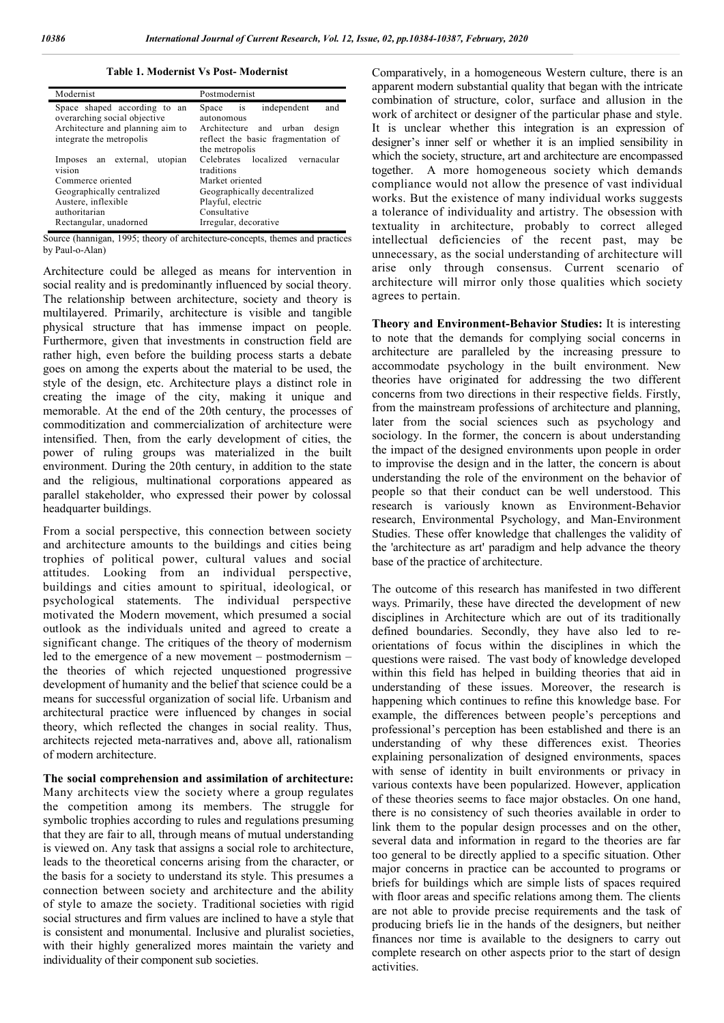#### **Table 1. Modernist Vs Post- Modernist**

| Modernist                                                                                                                                                   | Postmodernist                                                                                                                                                                    |
|-------------------------------------------------------------------------------------------------------------------------------------------------------------|----------------------------------------------------------------------------------------------------------------------------------------------------------------------------------|
| Space shaped according to an<br>overarching social objective<br>Architecture and planning aim to<br>integrate the metropolis                                | Space is<br>independent<br>and<br>autonomous<br>Architecture and urban design<br>reflect the basic fragmentation of                                                              |
| Imposes an external, utopian<br>vision<br>Commerce oriented<br>Geographically centralized<br>Austere, inflexible<br>authoritarian<br>Rectangular, unadorned | the metropolis<br>Celebrates localized vernacular<br>traditions<br>Market oriented<br>Geographically decentralized<br>Playful, electric<br>Consultative<br>Irregular, decorative |

Source (hannigan, 1995; theory of architecture-concepts, themes and practices by Paul-o-Alan)

Architecture could be alleged as means for intervention in social reality and is predominantly influenced by social theory. The relationship between architecture, society and theory is multilayered. Primarily, architecture is visible and tangible physical structure that has immense impact on people. Furthermore, given that investments in construction field are rather high, even before the building process starts a debate goes on among the experts about the material to be used, the style of the design, etc. Architecture plays a distinct role in creating the image of the city, making it unique and memorable. At the end of the 20th century, the processes of commoditization and commercialization of architecture were intensified. Then, from the early development of cities, the power of ruling groups was materialized in the built environment. During the 20th century, in addition to the state and the religious, multinational corporations appeared as parallel stakeholder, who expressed their power by colossal headquarter buildings.

From a social perspective, this connection between society and architecture amounts to the buildings and cities being trophies of political power, cultural values and social attitudes. Looking from an individual perspective, buildings and cities amount to spiritual, ideological, or psychological statements. The individual perspective motivated the Modern movement, which presumed a social outlook as the individuals united and agreed to create a significant change. The critiques of the theory of modernism led to the emergence of a new movement – postmodernism – the theories of which rejected unquestioned progressive development of humanity and the belief that science could be a means for successful organization of social life. Urbanism and architectural practice were influenced by changes in social theory, which reflected the changes in social reality. Thus, architects rejected meta-narratives and, above all, rationalism of modern architecture.

**The social comprehension and assimilation of architecture:**  Many architects view the society where a group regulates the competition among its members. The struggle for symbolic trophies according to rules and regulations presuming that they are fair to all, through means of mutual understanding is viewed on. Any task that assigns a social role to architecture, leads to the theoretical concerns arising from the character, or the basis for a society to understand its style. This presumes a connection between society and architecture and the ability of style to amaze the society. Traditional societies with rigid social structures and firm values are inclined to have a style that is consistent and monumental. Inclusive and pluralist societies, with their highly generalized mores maintain the variety and individuality of their component sub societies.

Comparatively, in a homogeneous Western culture, there is an apparent modern substantial quality that began with the intricate combination of structure, color, surface and allusion in the work of architect or designer of the particular phase and style. It is unclear whether this integration is an expression of designer's inner self or whether it is an implied sensibility in which the society, structure, art and architecture are encompassed together. A more homogeneous society which demands compliance would not allow the presence of vast individual works. But the existence of many individual works suggests a tolerance of individuality and artistry. The obsession with textuality in architecture, probably to correct alleged intellectual deficiencies of the recent past, may be unnecessary, as the social understanding of architecture will arise only through consensus. Current scenario of architecture will mirror only those qualities which society agrees to pertain.

**Theory and Environment-Behavior Studies:** It is interesting to note that the demands for complying social concerns in architecture are paralleled by the increasing pressure to accommodate psychology in the built environment. New theories have originated for addressing the two different concerns from two directions in their respective fields. Firstly, from the mainstream professions of architecture and planning, later from the social sciences such as psychology and sociology. In the former, the concern is about understanding the impact of the designed environments upon people in order to improvise the design and in the latter, the concern is about understanding the role of the environment on the behavior of people so that their conduct can be well understood. This research is variously known as Environment-Behavior research, Environmental Psychology, and Man-Environment Studies. These offer knowledge that challenges the validity of the 'architecture as art' paradigm and help advance the theory base of the practice of architecture.

The outcome of this research has manifested in two different ways. Primarily, these have directed the development of new disciplines in Architecture which are out of its traditionally defined boundaries. Secondly, they have also led to reorientations of focus within the disciplines in which the questions were raised. The vast body of knowledge developed within this field has helped in building theories that aid in understanding of these issues. Moreover, the research is happening which continues to refine this knowledge base. For example, the differences between people's perceptions and professional's perception has been established and there is an understanding of why these differences exist. Theories explaining personalization of designed environments, spaces with sense of identity in built environments or privacy in various contexts have been popularized. However, application of these theories seems to face major obstacles. On one hand, there is no consistency of such theories available in order to link them to the popular design processes and on the other, several data and information in regard to the theories are far too general to be directly applied to a specific situation. Other major concerns in practice can be accounted to programs or briefs for buildings which are simple lists of spaces required with floor areas and specific relations among them. The clients are not able to provide precise requirements and the task of producing briefs lie in the hands of the designers, but neither finances nor time is available to the designers to carry out complete research on other aspects prior to the start of design activities.